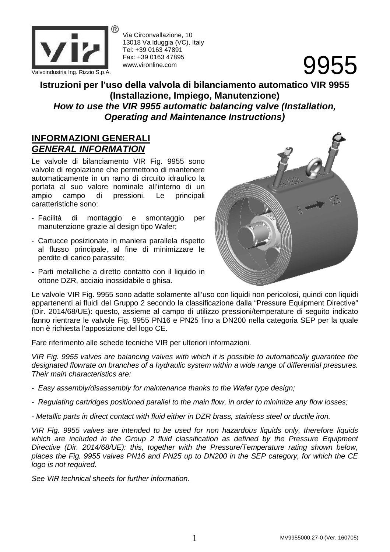

Via Circonvallazione, 10 13018 Va lduggia (VC), Italy Tel: +39 0163 47891 Fax: +39 0163 47895 www.vironline.com

## **Istruzioni per l'uso della valvola di bilanciamento automatico VIR 9955 (Installazione, Impiego, Manutenzione) How to use the VIR 9955 automatic balancing valve (Installation, Operating and Maintenance Instructions)**

#### **INFORMAZIONI GENERALI GENERAL INFORMATION**

Le valvole di bilanciamento VIR Fig. 9955 sono valvole di regolazione che permettono di mantenere automaticamente in un ramo di circuito idraulico la portata al suo valore nominale all'interno di un<br>ampio campo di pressioni. Le principali ampio campo di pressioni. Le principali caratteristiche sono:

- Facilità di montaggio e smontaggio per manutenzione grazie al design tipo Wafer;
- Cartucce posizionate in maniera parallela rispetto al flusso principale, al fine di minimizzare le perdite di carico parassite;
- Parti metalliche a diretto contatto con il liquido in ottone DZR, acciaio inossidabile o ghisa.



Le valvole VIR Fig. 9955 sono adatte solamente all'uso con liquidi non pericolosi, quindi con liquidi appartenenti ai fluidi del Gruppo 2 secondo la classificazione dalla "Pressure Equipment Directive" (Dir. 2014/68/UE): questo, assieme al campo di utilizzo pressioni/temperature di seguito indicato fanno rientrare le valvole Fig. 9955 PN16 e PN25 fino a DN200 nella categoria SEP per la quale non è richiesta l'apposizione del logo CE.

Fare riferimento alle schede tecniche VIR per ulteriori informazioni.

VIR Fig. 9955 valves are balancing valves with which it is possible to automatically guarantee the designated flowrate on branches of a hydraulic system within a wide range of differential pressures. Their main characteristics are:

- Easy assembly/disassembly for maintenance thanks to the Wafer type design;
- Regulating cartridges positioned parallel to the main flow, in order to minimize any flow losses;
- Metallic parts in direct contact with fluid either in DZR brass, stainless steel or ductile iron.

VIR Fig. 9955 valves are intended to be used for non hazardous liquids only, therefore liquids which are included in the Group 2 fluid classification as defined by the Pressure Equipment Directive (Dir. 2014/68/UE): this, together with the Pressure/Temperature rating shown below, places the Fig. 9955 valves PN16 and PN25 up to DN200 in the SEP category, for which the CE logo is not required.

See VIR technical sheets for further information.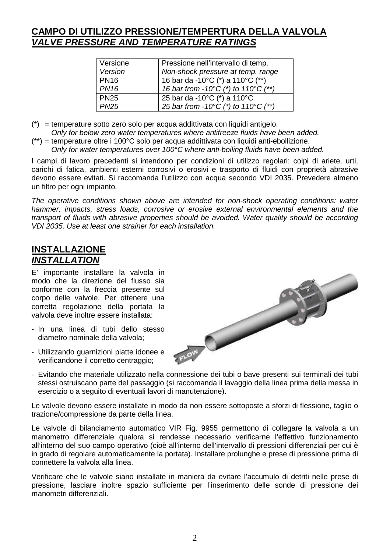### **CAMPO DI UTILIZZO PRESSIONE/TEMPERTURA DELLA VALVOLA VALVE PRESSURE AND TEMPERATURE RATINGS**

| Versione    | Pressione nell'intervallo di temp.                        |
|-------------|-----------------------------------------------------------|
| Version     | Non-shock pressure at temp. range                         |
| <b>PN16</b> | 16 bar da -10°C (*) a 110°C (**)                          |
| <b>PN16</b> | 16 bar from -10 $^{\circ}$ C (*) to 110 $^{\circ}$ C (**) |
| <b>PN25</b> | 25 bar da -10°C (*) a 110°C                               |
| <b>PN25</b> | 25 bar from -10°C (*) to 110°C (**)                       |

- (\*) = temperature sotto zero solo per acqua addittivata con liquidi antigelo.
- Only for below zero water temperatures where antifreeze fluids have been added.
- (\*\*) = temperature oltre i 100°C solo per acqua addittivata con liquidi anti-ebollizione. Only for water temperatures over 100°C where anti-boiling fluids have been added.

I campi di lavoro precedenti si intendono per condizioni di utilizzo regolari: colpi di ariete, urti, carichi di fatica, ambienti esterni corrosivi o erosivi e trasporto di fluidi con proprietà abrasive devono essere evitati. Si raccomanda l'utilizzo con acqua secondo VDI 2035. Prevedere almeno un filtro per ogni impianto.

The operative conditions shown above are intended for non-shock operating conditions: water hammer, impacts, stress loads, corrosive or erosive external environmental elements and the transport of fluids with abrasive properties should be avoided. Water quality should be according VDI 2035. Use at least one strainer for each installation.

# **INSTALLAZIONE INSTALLATION**

E' importante installare la valvola in modo che la direzione del flusso sia conforme con la freccia presente sul corpo delle valvole. Per ottenere una corretta regolazione della portata la valvola deve inoltre essere installata:

- In una linea di tubi dello stesso diametro nominale della valvola;
- Utilizzando guarnizioni piatte idonee e verificandone il corretto centraggio;



- Evitando che materiale utilizzato nella connessione dei tubi o bave presenti sui terminali dei tubi stessi ostruiscano parte del passaggio (si raccomanda il lavaggio della linea prima della messa in esercizio o a seguito di eventuali lavori di manutenzione).

Le valvole devono essere installate in modo da non essere sottoposte a sforzi di flessione, taglio o trazione/compressione da parte della linea.

Le valvole di bilanciamento automatico VIR Fig. 9955 permettono di collegare la valvola a un manometro differenziale qualora si rendesse necessario verificarne l'effettivo funzionamento all'interno del suo campo operativo (cioè all'interno dell'intervallo di pressioni differenziali per cui è in grado di regolare automaticamente la portata). Installare prolunghe e prese di pressione prima di connettere la valvola alla linea.

Verificare che le valvole siano installate in maniera da evitare l'accumulo di detriti nelle prese di pressione, lasciare inoltre spazio sufficiente per l'inserimento delle sonde di pressione dei manometri differenziali.